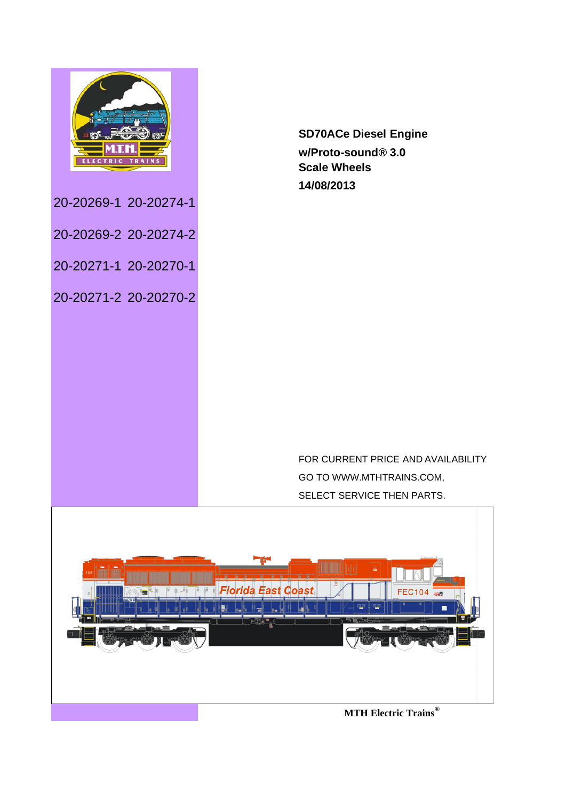

20-20269-1 20-20274-1

20-20269-2 20-20274-2

20-20271-1 20-20270-1

20-20271-2 20-20270-2

**SD70ACe Diesel Engine w/Proto-sound® 3.0 Scale Wheels 14/08/2013**

FOR CURRENT PRICE AND AVAILABILITY GO TO WWW.MTHTRAINS.COM, SELECT SERVICE THEN PARTS.

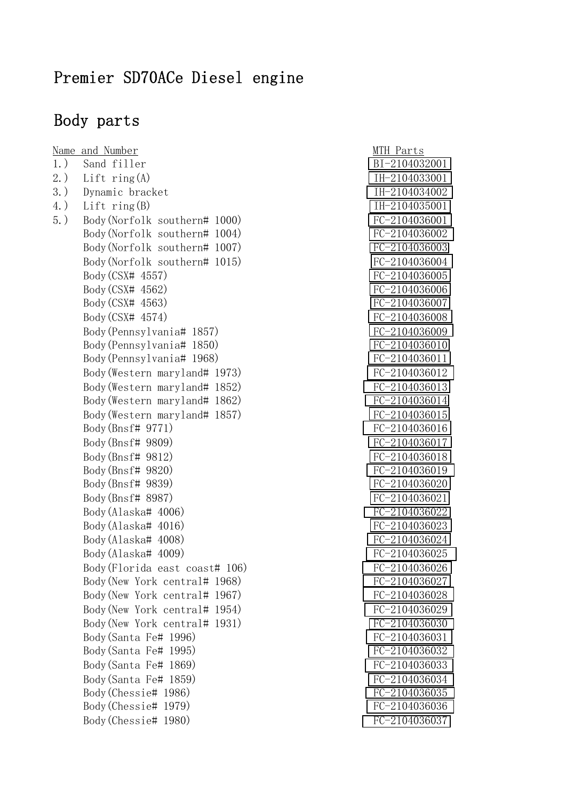#### Premier SD70ACe Diesel engine

#### Body parts

Name and Number MTH Parts 1.) Sand filler [BI-2104032001](http://www.mthtrains.com/part/BI-2104032001) 2.) Lift ring(A) [IH-2104033001](http://www.mthtrains.com/part/IH-2104033001) 3.) Dynamic bracket [IH-2104034002](http://www.mthtrains.com/part/IH-2104034002) 4.) Lift ring(B) [IH-2104035001](http://www.mthtrains.com/part/IH-2104035001) 5.) Body(Norfolk southern# 1000) [FC-2104036001](http://www.mthtrains.com/part/FC-2104036001) Body(Norfolk southern# 1004) [FC-2104036002](http://www.mthtrains.com/part/FC-2104036002) Body(Norfolk southern# 1007) [FC-2104036003](http://www.mthtrains.com/part/FC-2104036003) Body(Norfolk southern# 1015) [FC-2104036004](http://www.mthtrains.com/part/FC-2104036004) Body (CSX# 4557) [FC-2104036005](http://www.mthtrains.com/part/FC-2104036005) Body (CSX# 4562) [FC-2104036006](http://www.mthtrains.com/part/FC-2104036006) Body (CSX# 4563) [FC-2104036007](http://www.mthtrains.com/part/FC-2104036007) Body (CSX# 4574) [FC-2104036008](http://www.mthtrains.com/part/FC-2104036008) Body(Pennsylvania# 1857) [FC-2104036009](http://www.mthtrains.com/part/FC-2104036009) Body(Pennsylvania# 1850) [FC-2104036010](http://www.mthtrains.com/part/FC-2104036010) Body(Pennsylvania# 1968) [FC-2104036011](http://www.mthtrains.com/part/FC-2104036011) Body(Western maryland# 1973) [FC-2104036012](http://www.mthtrains.com/part/FC-2104036012) Body(Western maryland# 1852) [FC-2104036013](http://www.mthtrains.com/part/FC-2104036013) Body(Western maryland# 1862) [FC-2104036014](http://www.mthtrains.com/part/FC-2104036014) Body(Western maryland# 1857) [FC-2104036015](http://www.mthtrains.com/part/FC-2104036015) Body (Bnsf# 9771) [FC-2104036016](http://www.mthtrains.com/part/FC-2104036016) Body (Bnsf# 9809) [FC-2104036017](http://www.mthtrains.com/part/FC-2104036017) Body(Bnsf# 9812) [FC-2104036018](http://www.mthtrains.com/part/FC-2104036018) Body(Bnsf# 9820) [FC-2104036019](http://www.mthtrains.com/part/FC-2104036019) Body(Bnsf# 9839) [FC-2104036020](http://www.mthtrains.com/part/FC-2104036020) Body (Bnsf# 8987) [FC-2104036021](http://www.mthtrains.com/part/FC-2104036021) Body(Alaska# 4006) [FC-2104036022](http://www.mthtrains.com/part/FC-2104036022) Body(Alaska# 4016) [FC-2104036023](http://www.mthtrains.com/part/FC-2104036023) Body(Alaska# 4008) [FC-2104036024](http://www.mthtrains.com/part/FC-2104036024) Body(Alaska# 4009) [FC-2104036025](http://www.mthtrains.com/part/FC-2104036025) Body(Florida east coast# 106) [FC-2104036026](http://www.mthtrains.com/part/FC-2104036026) Body(New York central# 1968) [FC-2104036027](http://www.mthtrains.com/part/FC-2104036027) Body(New York central# 1967) [FC-2104036028](http://www.mthtrains.com/part/FC-2104036028) Body(New York central# 1954) [FC-2104036029](http://www.mthtrains.com/part/FC-2104036029) Body(New York central# 1931) [FC-2104036030](http://www.mthtrains.com/part/FC-2104036030) Body (Santa Fe# 1996) [FC-2104036031](http://www.mthtrains.com/part/FC-2104036031) Body(Santa Fe# 1995) [FC-2104036032](http://www.mthtrains.com/part/FC-2104036032) Body(Santa Fe# 1869) [FC-2104036033](http://www.mthtrains.com/part/FC-2104036033) Body(Santa Fe# 1859) [FC-2104036034](http://www.mthtrains.com/part/FC-2104036034) Body(Chessie# 1986) [FC-2104036035](http://www.mthtrains.com/part/FC-2104036035) Body(Chessie# 1979) [FC-2104036036](http://www.mthtrains.com/part/FC-2104036036) Body(Chessie# 1980) [FC-2104036037](http://www.mthtrains.com/part/FC-2104036037)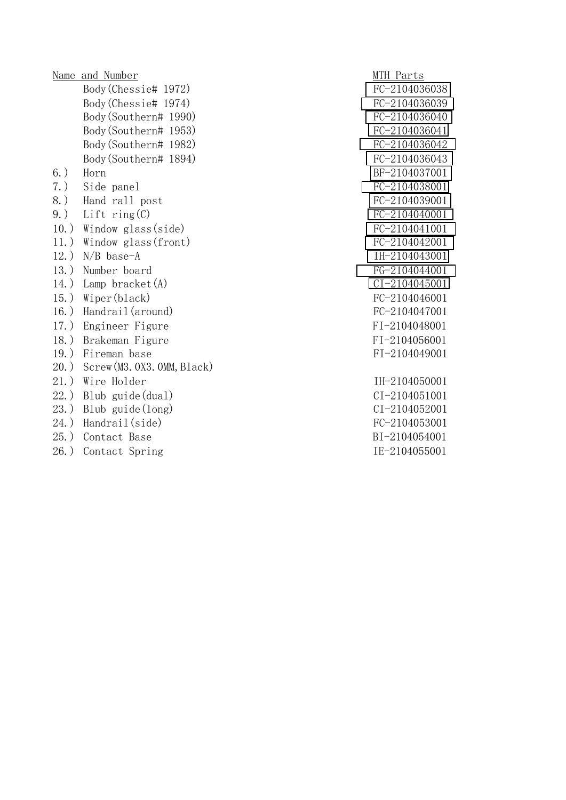Name and Number MTH Parts Body(Chessie# 1972) [FC-2104036038](http://www.mthtrains.com/part/FC-2104036038) Body(Chessie# 1974) [FC-2104036039](http://www.mthtrains.com/part/FC-2104036039) Body(Southern# 1990) [FC-2104036040](http://www.mthtrains.com/part/FC-2104036040) Body(Southern# 1953) [FC-2104036041](http://www.mthtrains.com/part/FC-2104036041) Body(Southern# 1982) [FC-2104036042](http://www.mthtrains.com/part/FC-2104036042) Body(Southern# 1894) [FC-2104036043](http://www.mthtrains.com/part/FC-2104036043) 6.) Horn [BF-2104037001](http://www.mthtrains.com/part/BF-2104037001) 7.) Side panel [FC-2104038001](http://www.mthtrains.com/part/FC-2104038001) 8.) Hand rall post [FC-2104039001](http://www.mthtrains.com/part/FC-2104039001) 9.) Lift ring(C) [FC-2104040001](http://www.mthtrains.com/part/FC-2104040001) 10.) Window glass(side) [FC-2104041001](http://www.mthtrains.com/part/FC-2104041001) 11.) Window glass(front) [FC-2104042001](http://www.mthtrains.com/part/FC-2104042001) 12.) N/B base-A [IH-2104043001](http://www.mthtrains.com/part/IH-2104043001) 13.) Number board [FG-2104044001](http://www.mthtrains.com/part/FG-2104044001) 14.) Lamp bracket(A) [CI-2104045001](http://www.mthtrains.com/part/CI-2104045001) 15.) Wiper(black) [FC-2104046001](http://www.mthtrains.com/part/FC-2104046001) 16.) Handrail(around) FC-2104047001 17.) Engineer Figure FI-2104048001 18.) Brakeman Figure FI-2104056001 19.) Fireman base FI-2104049001 20.) Screw(M3.0X3.0MM,Black) 21.) Wire Holder IH-2104050001 22.) Blub guide(dual) CI-2104051001 23.) Blub guide(long) CI-2104052001 24.) Handrail(side) FC-2104053001 25.) Contact Base BI-2104054001

26.) Contact Spring IE-2104055001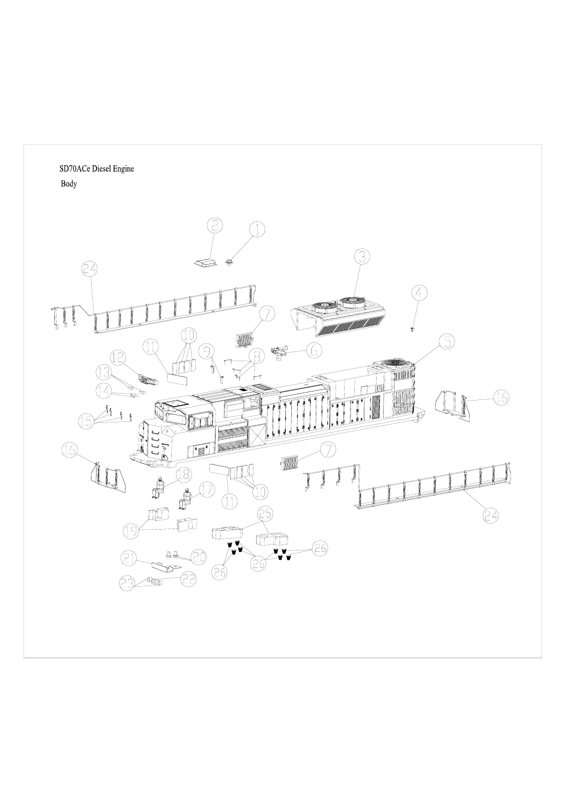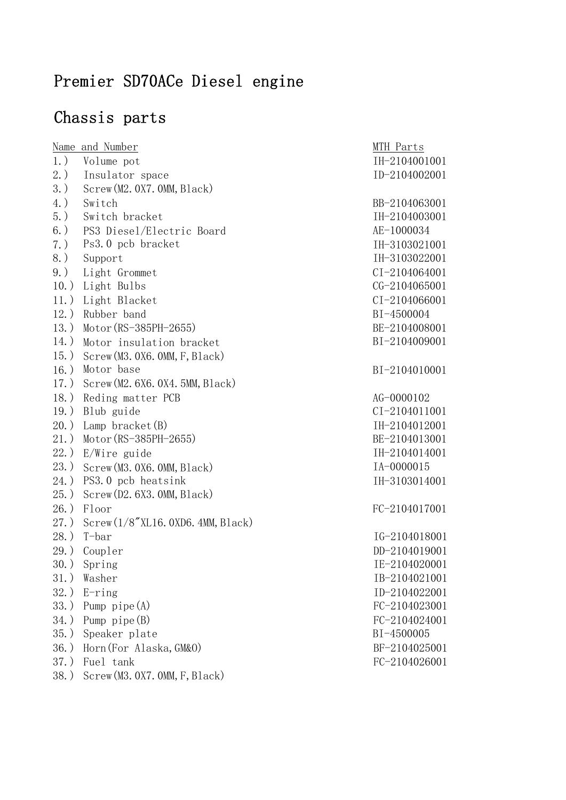# Premier SD70ACe Diesel engine

## Chassis parts

|         | <u>Name</u> and Number           | MTH Parts         |
|---------|----------------------------------|-------------------|
| $1.$ )  | Volume pot                       | IH-2104001001     |
| $2.$ )  | Insulator space                  | ID-2104002001     |
| $3.$ )  | Screw(M2. 0X7. 0MM, Black)       |                   |
| $4.$ )  | Switch                           | BB-2104063001     |
| $5.$ )  | Switch bracket                   | IH-2104003001     |
| $6.$ )  | PS3 Diesel/Electric Board        | AE-1000034        |
| $7.$ )  | Ps3.0 pcb bracket                | IH-3103021001     |
| $8.$ )  | Support                          | IH-3103022001     |
| $9.$ )  | Light Grommet                    | CI-2104064001     |
| $10.$ ) | Light Bulbs                      | CG-2104065001     |
| $11.$ ) | Light Blacket                    | $CI - 2104066001$ |
| $12.$ ) | Rubber band                      | BI-4500004        |
| $13.$ ) | $Motor (RS-385PH-2655)$          | BE-2104008001     |
| $14.$ ) | Motor insulation bracket         | BI-2104009001     |
| $15.$ ) | Screw(M3.0X6.0MM, F, Black)      |                   |
| $16.$ ) | Motor base                       | BI-2104010001     |
| $17.$ ) | Screw(M2. 6X6. 0X4. 5MM, Black)  |                   |
| $18.$ ) | Reding matter PCB                | AG-0000102        |
| $19.$ ) | Blub guide                       | CI-2104011001     |
| $20.$ ) | Lamp bracket $(B)$               | IH-2104012001     |
| $21.$ ) | $Motor (RS-385PH-2655)$          | BE-2104013001     |
| $22.$ ) | E/Wire guide                     | IH-2104014001     |
| $23.$ ) | Screw (M3.0X6.0MM, Black)        | IA-0000015        |
| $24.$ ) | PS3.0 pcb heatsink               | IH-3103014001     |
| $25.$ ) | Screw(D2. 6X3. 0MM, Black)       |                   |
| $26.$ ) | Floor                            | FC-2104017001     |
| $27.$ ) | Screw(1/8''XL16.0XD6.4MM, Black) |                   |
| $28.$ ) | $T$ -bar                         | IG-2104018001     |
| $29.$ ) | Coupler                          | DD-2104019001     |
| $30.$ ) | Spring                           | IE-2104020001     |
| 31.)    | Washer                           | IB-2104021001     |
| $32.$ ) | $E\text{-ring}$                  | ID-2104022001     |
| $33.$ ) | Pump $pipe(A)$                   | FC-2104023001     |
| $34.$ ) | Pump $pipe(B)$                   | FC-2104024001     |
| $35.$ ) | Speaker plate                    | BI-4500005        |
| $36.$ ) | Horn (For Alaska, GM&O)          | BF-2104025001     |
| $37.$ ) | Fuel tank                        | FC-2104026001     |

38.) Screw(M3.0X7.0MM,F,Black)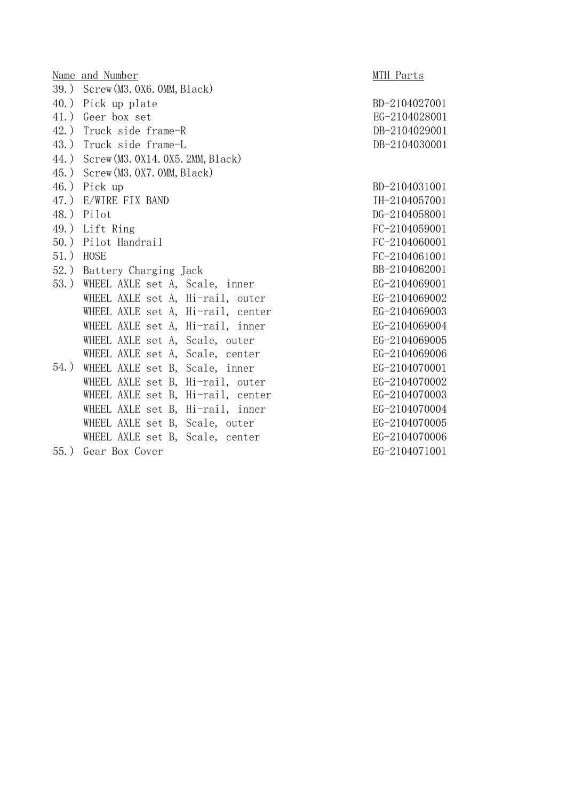|         | Name and Number                     | MTH Parts     |  |  |  |  |
|---------|-------------------------------------|---------------|--|--|--|--|
|         | 39.) Screw (M3.0X6.0MM, Black)      |               |  |  |  |  |
|         | 40.) Pick up plate                  | BD-2104027001 |  |  |  |  |
|         | 41.) Geer box set                   | EG-2104028001 |  |  |  |  |
|         | 42.) Truck side frame-R             | DB-2104029001 |  |  |  |  |
|         | 43.) Truck side frame-L             | DB-2104030001 |  |  |  |  |
|         | 44.) Screw (M3.0X14.0X5.2MM, Black) |               |  |  |  |  |
|         | 45.) Screw (M3.0X7.0MM, Black)      |               |  |  |  |  |
|         | 46.) Pick up                        | BD-2104031001 |  |  |  |  |
|         | 47.) E/WIRE FIX BAND                | IH-2104057001 |  |  |  |  |
|         | 48.) Pilot                          | DG-2104058001 |  |  |  |  |
|         | 49.) Lift Ring                      | FC-2104059001 |  |  |  |  |
|         | 50.) Pilot Handrail                 | FC-2104060001 |  |  |  |  |
|         | 51.) HOSE                           | FC-2104061001 |  |  |  |  |
|         | 52.) Battery Charging Jack          | BB-2104062001 |  |  |  |  |
|         | 53.) WHEEL AXLE set A, Scale, inner | EG-2104069001 |  |  |  |  |
|         | WHEEL AXLE set A, Hi-rail, outer    | EG-2104069002 |  |  |  |  |
|         | WHEEL AXLE set A, Hi-rail, center   | EG-2104069003 |  |  |  |  |
|         | WHEEL AXLE set A, Hi-rail, inner    | EG-2104069004 |  |  |  |  |
|         | WHEEL AXLE set A, Scale, outer      | EG-2104069005 |  |  |  |  |
|         | WHEEL AXLE set A, Scale, center     | EG-2104069006 |  |  |  |  |
| $54.$ ) | WHEEL AXLE set B, Scale, inner      | EG-2104070001 |  |  |  |  |
|         | WHEEL AXLE set B, Hi-rail, outer    | EG-2104070002 |  |  |  |  |
|         | WHEEL AXLE set B, Hi-rail, center   | EG-2104070003 |  |  |  |  |
|         | WHEEL AXLE set B, Hi-rail, inner    | EG-2104070004 |  |  |  |  |
|         | WHEEL AXLE set B, Scale, outer      | EG-2104070005 |  |  |  |  |
|         | WHEEL AXLE set B, Scale, center     | EG-2104070006 |  |  |  |  |
| $55.$ ) | Gear Box Cover                      | EG-2104071001 |  |  |  |  |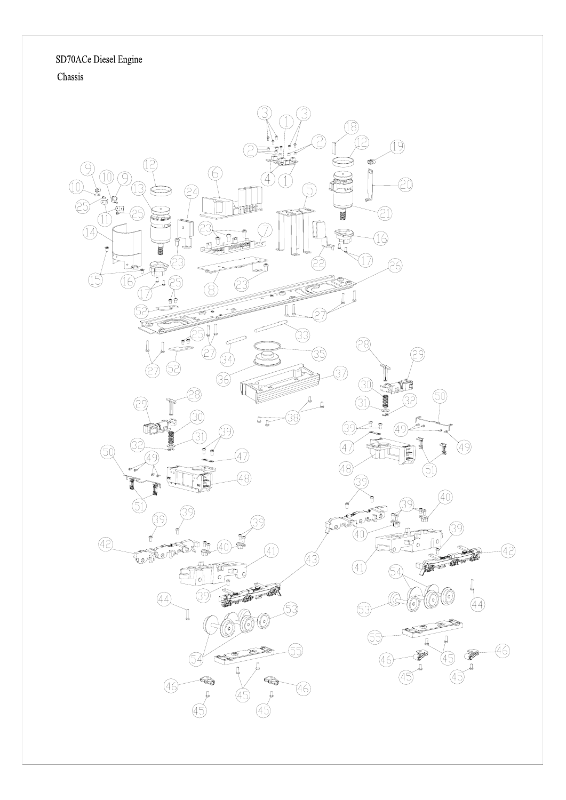